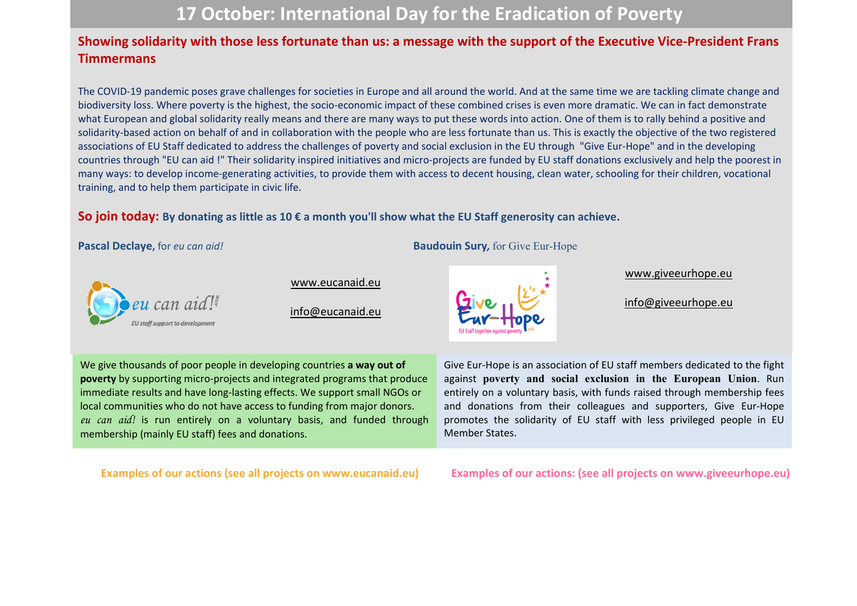# **17 October: International Day for the Eradication of Poverty**

## **Showing solidarity with those less fortunate than us: a message with the support of the Executive Vice-President Frans Timmermans**

The COVID-19 pandemic poses grave challenges for societies in Europe and all around the world. And at the same time we are tackling climate change and biodiversity loss. Where poverty is the highest, the socio-economic impact of these combined crises is even more dramatic. We can in fact demonstrate what European and global solidarity really means and there are many ways to put these words into action. One of them is to rally behind a positive and solidarity-based action on behalf of and in collaboration with the people who are less fortunate than us. This is exactly the objective of the two registered associations of EU Staff dedicated to address the challenges of poverty and social exclusion in the EU through "Give Eur-Hope" and in the developing countries through "EU can aid !" Their solidarity inspired initiatives and micro-projects are funded by EU staff donations exclusively and help the poorest in many ways: to develop income-generating activities, to provide them with access to decent housing, clean water, schooling for their children, vocational training, and to help them participate in civic life.

## **So join today: By donating as little as 10 € a month you'll show what the EU Staff generosity can achieve**.

**Pascal Declaye,** for *eu can aid!* **Baudouin Sury**, for Give Eur-Hope



[www.eucanaid.eu](http://www.eucanaid.eu/)

[info@eucanaid.eu](mailto:info@eucanaid.eu)



[www.giveeurhope.eu](http://www.giveeurhope.eu/)

[info@giveeurhope.eu](mailto:info@giveeurhope.eu)

We give thousands of poor people in developing countries **a way out of poverty** by supporting micro-projects and integrated programs that produce immediate results and have long-lasting effects. We support small NGOs or local communities who do not have access to funding from major donors. *eu can aid!* is run entirely on a voluntary basis, and funded through membership (mainly EU staff) fees and donations.

Give Eur-Hope is an association of EU staff members dedicated to the fight against **poverty and social exclusion in the European Union**. Run entirely on a voluntary basis, with funds raised through membership fees and donations from their colleagues and supporters, Give Eur-Hope promotes the solidarity of EU staff with less privileged people in EU Member States.

**Examples of our actions (see all projects on www.eucanaid.eu) Examples of our actions: (see all projects on www.giveeurhope.eu)**